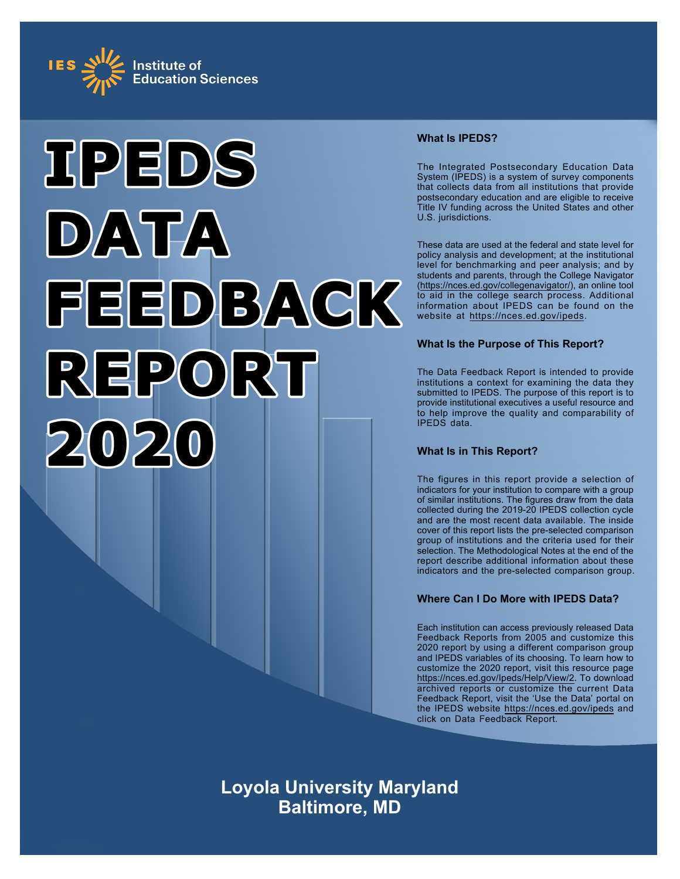



# **What Is IPEDS?**

The Integrated Postsecondary Education Data System (IPEDS) is a system of survey components that collects data from all institutions that provide postsecondary education and are eligible to receive Title IV funding across the United States and other U.S. jurisdictions.

These data are used at the federal and state level for policy analysis and development; at the institutional level for benchmarking and peer analysis; and by students and parents, through the College Navigator ([https://nces.ed.gov/collegenavigator/\)](https://nces.ed.gov/collegenavigator/), an online tool to aid in the college search process. Additional information about IPEDS can be found on the website at<https://nces.ed.gov/ipeds>.

# **What Is the Purpose of This Report?**

The Data Feedback Report is intended to provide institutions a context for examining the data they submitted to IPEDS. The purpose of this report is to provide institutional executives a useful resource and to help improve the quality and comparability of IPEDS data.

# **What Is in This Report?**

The figures in this report provide a selection of indicators for your institution to compare with a group of similar institutions. The figures draw from the data collected during the 2019-20 IPEDS collection cycle and are the most recent data available. The inside cover of this report lists the pre-selected comparison group of institutions and the criteria used for their selection. The Methodological Notes at the end of the report describe additional information about these indicators and the pre-selected comparison group.

# **Where Can I Do More with IPEDS Data?**

Each institution can access previously released Data Feedback Reports from 2005 and customize this 2020 report by using a different comparison group and IPEDS variables of its choosing. To learn how to customize the 2020 report, visit this resource page <https://nces.ed.gov/Ipeds/Help/View/2>. To download archived reports or customize the current Data Feedback Report, visit the 'Use the Data' portal on the IPEDS website<https://nces.ed.gov/ipeds> and click on Data Feedback Report.

**Loyola University Maryland Baltimore, MD**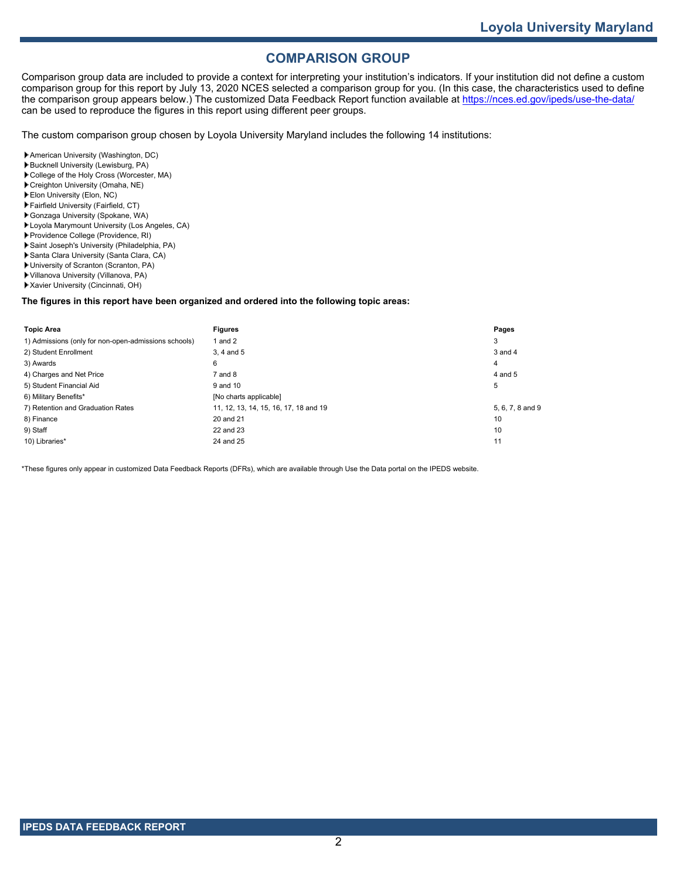# **COMPARISON GROUP**

Comparison group data are included to provide a context for interpreting your institution's indicators. If your institution did not define a custom comparison group for this report by July 13, 2020 NCES selected a comparison group for you. (In this case, the characteristics used to define the comparison group appears below.) The customized Data Feedback Report function available at<https://nces.ed.gov/ipeds/use-the-data/> can be used to reproduce the figures in this report using different peer groups.

The custom comparison group chosen by Loyola University Maryland includes the following 14 institutions:

- American University (Washington, DC)
- Bucknell University (Lewisburg, PA)
- College of the Holy Cross (Worcester, MA) Creighton University (Omaha, NE)
- Elon University (Elon, NC)
- Fairfield University (Fairfield, CT)
- Gonzaga University (Spokane, WA)
- Loyola Marymount University (Los Angeles, CA)
- Providence College (Providence, RI)
- Saint Joseph's University (Philadelphia, PA)
- Santa Clara University (Santa Clara, CA)
- University of Scranton (Scranton, PA)
- Villanova University (Villanova, PA)
- Xavier University (Cincinnati, OH)

#### **The figures in this report have been organized and ordered into the following topic areas:**

| <b>Topic Area</b>                                    | <b>Figures</b>                        | Pages            |
|------------------------------------------------------|---------------------------------------|------------------|
| 1) Admissions (only for non-open-admissions schools) | 1 and $2$                             | 3                |
| 2) Student Enrollment                                | 3.4 and 5                             | $3$ and $4$      |
| 3) Awards                                            | 6                                     | 4                |
| 4) Charges and Net Price                             | $7$ and $8$                           | 4 and 5          |
| 5) Student Financial Aid                             | 9 and 10                              | 5                |
| 6) Military Benefits*                                | [No charts applicable]                |                  |
| 7) Retention and Graduation Rates                    | 11, 12, 13, 14, 15, 16, 17, 18 and 19 | 5, 6, 7, 8 and 9 |
| 8) Finance                                           | 20 and 21                             | 10               |
| 9) Staff                                             | 22 and 23                             | 10               |
| 10) Libraries*                                       | 24 and 25                             | 11               |

\*These figures only appear in customized Data Feedback Reports (DFRs), which are available through Use the Data portal on the IPEDS website.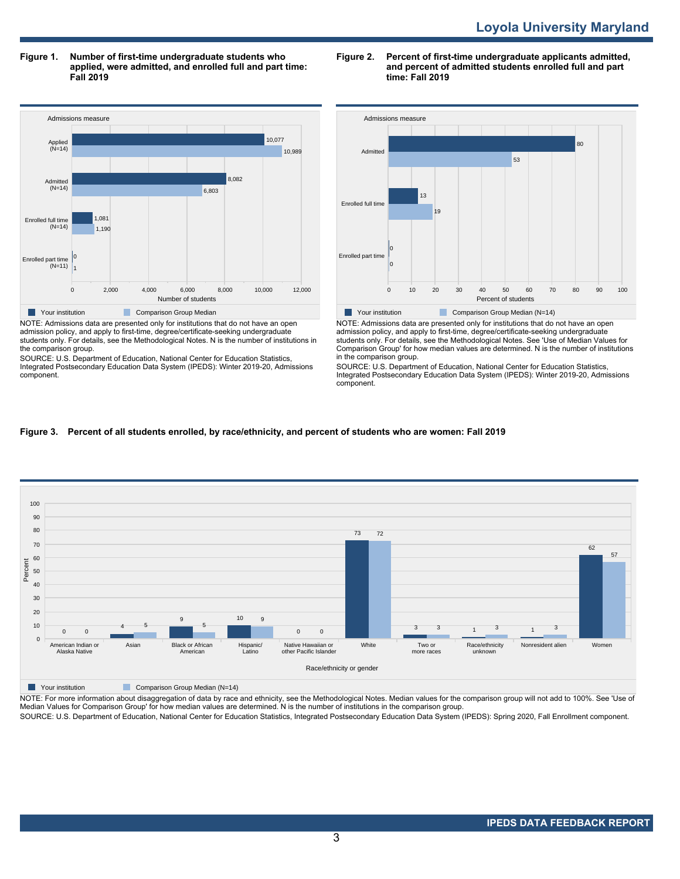**Figure 1. Number of first-time undergraduate students who applied, were admitted, and enrolled full and part time: Fall 2019**



NOTE: Admissions data are presented only for institutions that do not have an open admission policy, and apply to first-time, degree/certificate-seeking undergraduate students only. For details, see the Methodological Notes. N is the number of institutions in the comparison group.

SOURCE: U.S. Department of Education, National Center for Education Statistics, Integrated Postsecondary Education Data System (IPEDS): Winter 2019-20, Admissions component.

### **Figure 2. Percent of first-time undergraduate applicants admitted, and percent of admitted students enrolled full and part time: Fall 2019**



NOTE: Admissions data are presented only for institutions that do not have an open admission policy, and apply to first-time, degree/certificate-seeking undergraduate students only. For details, see the Methodological Notes. See 'Use of Median Values for Comparison Group' for how median values are determined. N is the number of institutions in the comparison group.

SOURCE: U.S. Department of Education, National Center for Education Statistics, Integrated Postsecondary Education Data System (IPEDS): Winter 2019-20, Admissions component.

# **Figure 3. Percent of all students enrolled, by race/ethnicity, and percent of students who are women: Fall 2019**



**Your institution** Comparison Group Median (N=14)

NOTE: For more information about disaggregation of data by race and ethnicity, see the Methodological Notes. Median values for the comparison group will not add to 100%. See 'Use of<br>Median Values for Comparison Group' for

SOURCE: U.S. Department of Education, National Center for Education Statistics, Integrated Postsecondary Education Data System (IPEDS): Spring 2020, Fall Enrollment component.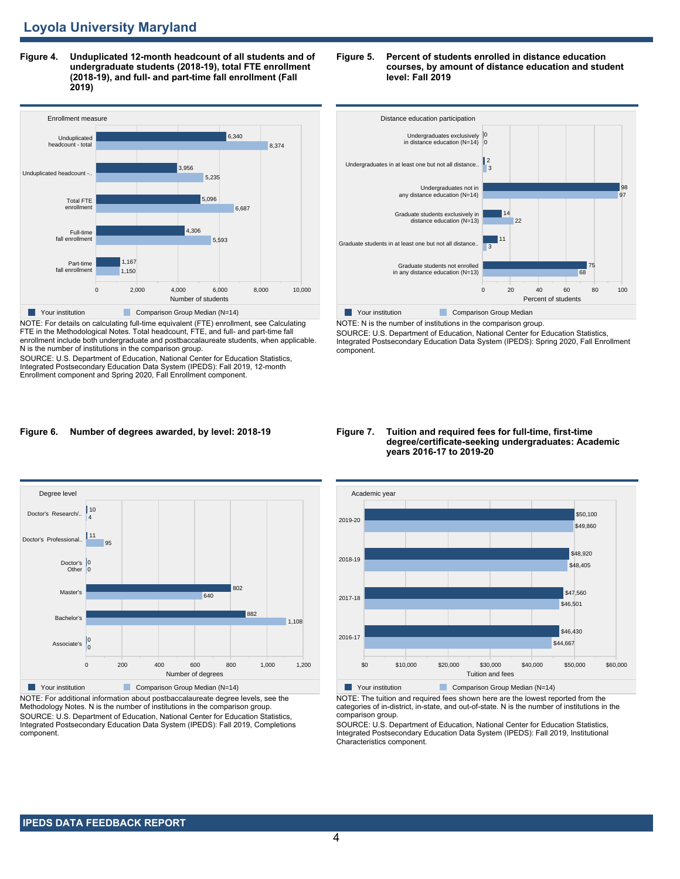**Figure 4. Unduplicated 12-month headcount of all students and of undergraduate students (2018-19), total FTE enrollment (2018-19), and full- and part-time fall enrollment (Fall 2019)**



NOTE: For details on calculating full-time equivalent (FTE) enrollment, see Calculating FTE in the Methodological Notes. Total headcount, FTE, and full- and part-time fall enrollment include both undergraduate and postbaccalaureate students, when applicable. N is the number of institutions in the comparison group.

SOURCE: U.S. Department of Education, National Center for Education Statistics, Integrated Postsecondary Education Data System (IPEDS): Fall 2019, 12-month Enrollment component and Spring 2020, Fall Enrollment component.

#### **Figure 5. Percent of students enrolled in distance education courses, by amount of distance education and student level: Fall 2019**



SOURCE: U.S. Department of Education, National Center for Education Statistics, Integrated Postsecondary Education Data System (IPEDS): Spring 2020, Fall Enrollment component.

#### **Figure 6. Number of degrees awarded, by level: 2018-19**



NOTE: For additional information about postbaccalaureate degree levels, see the Methodology Notes. N is the number of institutions in the comparison group. SOURCE: U.S. Department of Education, National Center for Education Statistics, Integrated Postsecondary Education Data System (IPEDS): Fall 2019, Completions component.

#### **Figure 7. Tuition and required fees for full-time, first-time degree/certificate-seeking undergraduates: Academic years 2016-17 to 2019-20**



NOTE: The tuition and required fees shown here are the lowest reported from the categories of in-district, in-state, and out-of-state. N is the number of institutions in the comparison group.

SOURCE: U.S. Department of Education, National Center for Education Statistics, Integrated Postsecondary Education Data System (IPEDS): Fall 2019, Institutional Characteristics component.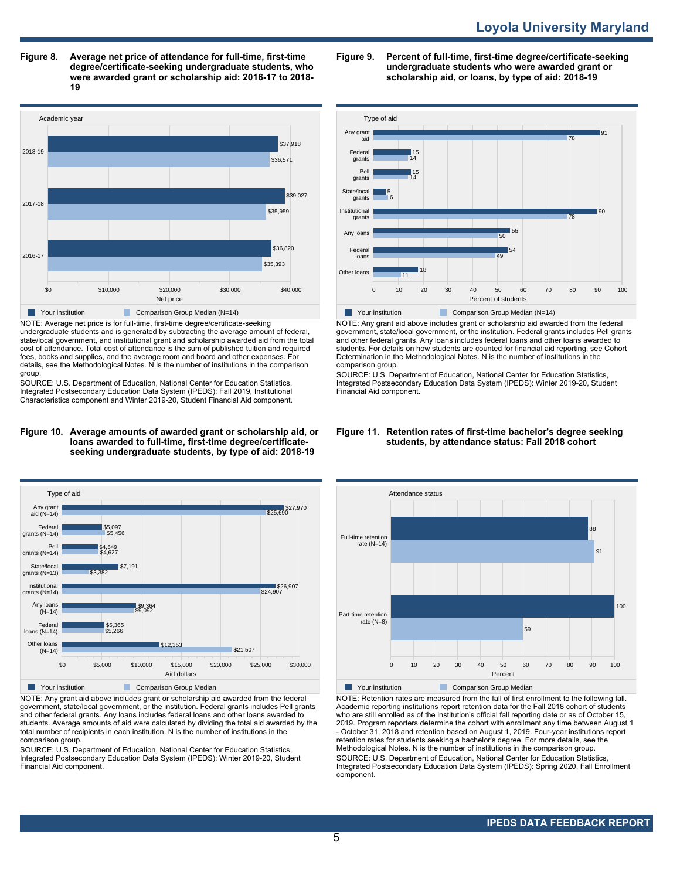**Figure 8. Average net price of attendance for full-time, first-time degree/certificate-seeking undergraduate students, who were awarded grant or scholarship aid: 2016-17 to 2018- 19**



NOTE: Average net price is for full-time, first-time degree/certificate-seeking undergraduate students and is generated by subtracting the average amount of federal, state/local government, and institutional grant and scholarship awarded aid from the total cost of attendance. Total cost of attendance is the sum of published tuition and required fees, books and supplies, and the average room and board and other expenses. For details, see the Methodological Notes. N is the number of institutions in the comparison group.

SOURCE: U.S. Department of Education, National Center for Education Statistics, Integrated Postsecondary Education Data System (IPEDS): Fall 2019, Institutional Characteristics component and Winter 2019-20, Student Financial Aid component.

#### **Figure 10. Average amounts of awarded grant or scholarship aid, or loans awarded to full-time, first-time degree/certificateseeking undergraduate students, by type of aid: 2018-19**



NOTE: Any grant aid above includes grant or scholarship aid awarded from the federal government, state/local government, or the institution. Federal grants includes Pell grants and other federal grants. Any loans includes federal loans and other loans awarded to students. Average amounts of aid were calculated by dividing the total aid awarded by the total number of recipients in each institution. N is the number of institutions in the comparison group.

SOURCE: U.S. Department of Education, National Center for Education Statistics, Integrated Postsecondary Education Data System (IPEDS): Winter 2019-20, Student Financial Aid component.

**Figure 9. Percent of full-time, first-time degree/certificate-seeking undergraduate students who were awarded grant or scholarship aid, or loans, by type of aid: 2018-19**



NOTE: Any grant aid above includes grant or scholarship aid awarded from the federal government, state/local government, or the institution. Federal grants includes Pell grants and other federal grants. Any loans includes federal loans and other loans awarded to students. For details on how students are counted for financial aid reporting, see Cohort Determination in the Methodological Notes. N is the number of institutions in the comparison group.

SOURCE: U.S. Department of Education, National Center for Education Statistics, Integrated Postsecondary Education Data System (IPEDS): Winter 2019-20, Student Financial Aid component.

#### **Figure 11. Retention rates of first-time bachelor's degree seeking students, by attendance status: Fall 2018 cohort**



NOTE: Retention rates are measured from the fall of first enrollment to the following fall. Academic reporting institutions report retention data for the Fall 2018 cohort of students who are still enrolled as of the institution's official fall reporting date or as of October 15, 2019. Program reporters determine the cohort with enrollment any time between August 1 - October 31, 2018 and retention based on August 1, 2019. Four-year institutions report retention rates for students seeking a bachelor's degree. For more details, see the Methodological Notes. N is the number of institutions in the comparison group. SOURCE: U.S. Department of Education, National Center for Education Statistics, Integrated Postsecondary Education Data System (IPEDS): Spring 2020, Fall Enrollment component.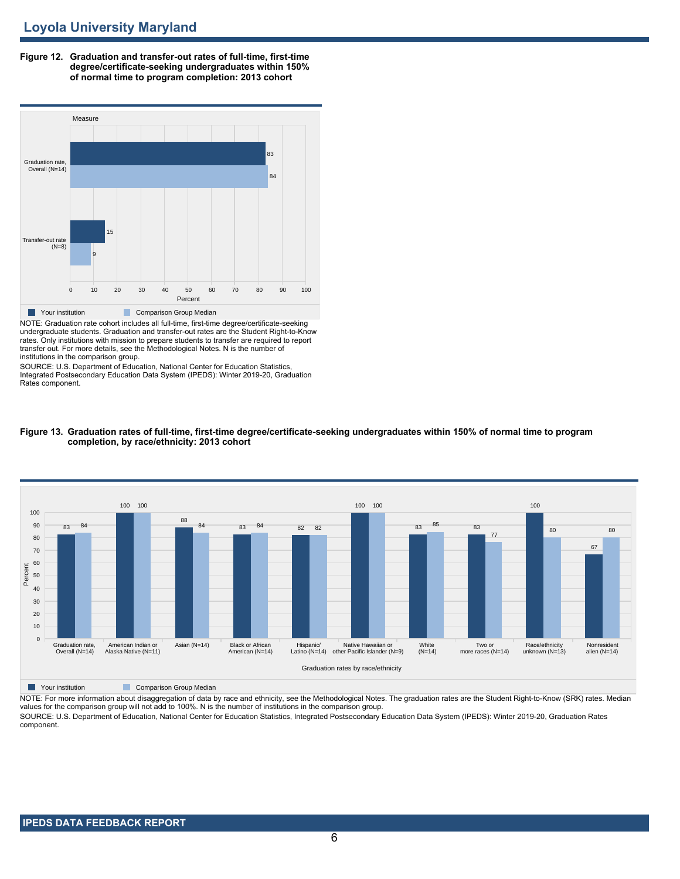**Figure 12. Graduation and transfer-out rates of full-time, first-time degree/certificate-seeking undergraduates within 150% of normal time to program completion: 2013 cohort**



undergraduate students. Graduation and transfer-out rates are the Student Right-to-Know rates. Only institutions with mission to prepare students to transfer are required to report transfer out. For more details, see the Methodological Notes. N is the number of institutions in the comparison group.

SOURCE: U.S. Department of Education, National Center for Education Statistics, Integrated Postsecondary Education Data System (IPEDS): Winter 2019-20, Graduation Rates component.



#### **Figure 13. Graduation rates of full-time, first-time degree/certificate-seeking undergraduates within 150% of normal time to program completion, by race/ethnicity: 2013 cohort**

**Nour institution Comparison Group Median** 

NOTE: For more information about disaggregation of data by race and ethnicity, see the Methodological Notes. The graduation rates are the Student Right-to-Know (SRK) rates. Median values for the comparison group will not add to 100%. N is the number of institutions in the comparison group.

SOURCE: U.S. Department of Education, National Center for Education Statistics, Integrated Postsecondary Education Data System (IPEDS): Winter 2019-20, Graduation Rates component.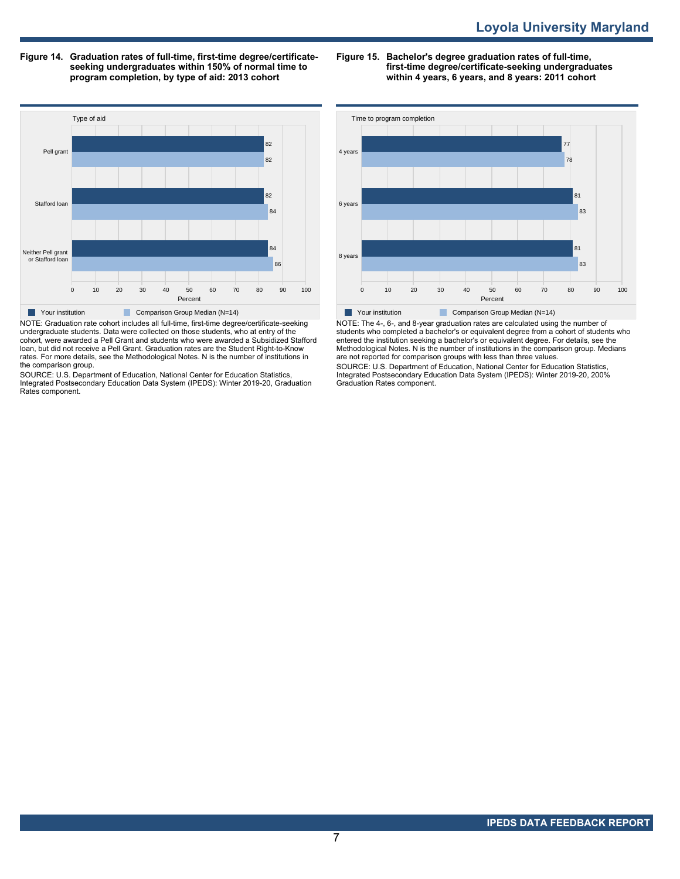**Figure 14. Graduation rates of full-time, first-time degree/certificateseeking undergraduates within 150% of normal time to program completion, by type of aid: 2013 cohort**

**Figure 15. Bachelor's degree graduation rates of full-time, first-time degree/certificate-seeking undergraduates within 4 years, 6 years, and 8 years: 2011 cohort**



NOTE: Graduation rate cohort includes all full-time, first-time degree/certificate-seeking undergraduate students. Data were collected on those students, who at entry of the cohort, were awarded a Pell Grant and students who were awarded a Subsidized Stafford loan, but did not receive a Pell Grant. Graduation rates are the Student Right-to-Know rates. For more details, see the Methodological Notes. N is the number of institutions in the comparison group.

SOURCE: U.S. Department of Education, National Center for Education Statistics, Integrated Postsecondary Education Data System (IPEDS): Winter 2019-20, Graduation Rates component.



NOTE: The 4-, 6-, and 8-year graduation rates are calculated using the number of students who completed a bachelor's or equivalent degree from a cohort of students who entered the institution seeking a bachelor's or equivalent degree. For details, see the Methodological Notes. N is the number of institutions in the comparison group. Medians are not reported for comparison groups with less than three values.

SOURCE: U.S. Department of Education, National Center for Education Statistics, Integrated Postsecondary Education Data System (IPEDS): Winter 2019-20, 200% Graduation Rates component.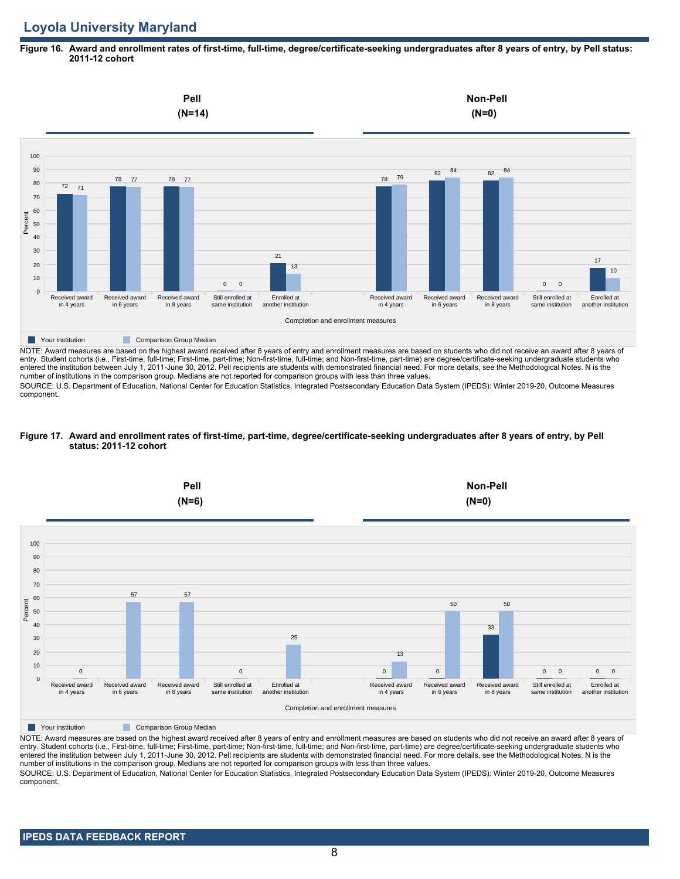# **Loyola University Maryland**

### **Figure 16. Award and enrollment rates of first-time, full-time, degree/certificate-seeking undergraduates after 8 years of entry, by Pell status: 2011-12 cohort**



NOTE: Award measures are based on the highest award received after 8 years of entry and enrollment measures are based on students who did not receive an award after 8 years of entry. Student cohorts (i.e., First-time, full-time; First-time, part-time; Non-first-time, full-time; and Non-first-time, part-time) are degree/certificate-seeking undergraduate students who entered the institution between July 1, 2011-June 30, 2012. Pell recipients are students with demonstrated financial need. For more details, see the Methodological Notes. N is the number of institutions in the comparison group. Medians are not reported for comparison groups with less than three values.

SOURCE: U.S. Department of Education, National Center for Education Statistics, Integrated Postsecondary Education Data System (IPEDS): Winter 2019-20, Outcome Measures component.

# **Figure 17. Award and enrollment rates of first-time, part-time, degree/certificate-seeking undergraduates after 8 years of entry, by Pell status: 2011-12 cohort**



NOTE: Award measures are based on the highest award received after 8 years of entry and enrollment measures are based on students who did not receive an award after 8 years of entry. Student cohorts (i.e., First-time, full-time; First-time, part-time; Non-first-time, full-time; and Non-first-time, part-time) are degree/certificate-seeking undergraduate students who entered the institution between July 1, 2011-June 30, 2012. Pell recipients are students with demonstrated financial need. For more details, see the Methodological Notes. N is the number of institutions in the comparison group. Medians are not reported for comparison groups with less than three values. SOURCE: U.S. Department of Education, National Center for Education Statistics, Integrated Postsecondary Education Data System (IPEDS): Winter 2019-20, Outcome Measures component.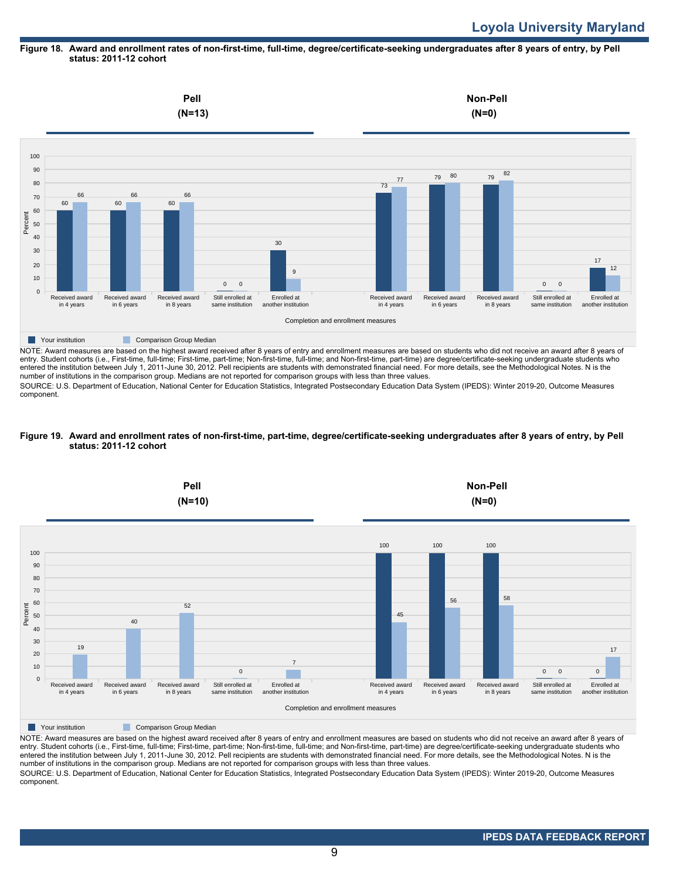#### **Figure 18. Award and enrollment rates of non-first-time, full-time, degree/certificate-seeking undergraduates after 8 years of entry, by Pell status: 2011-12 cohort**



entry. Student cohorts (i.e., First-time, full-time; First-time, part-time; Non-first-time, full-time; and Non-first-time, part-time) are degree/certificate-seeking undergraduate students who entered the institution between July 1, 2011-June 30, 2012. Pell recipients are students with demonstrated financial need. For more details, see the Methodological Notes. N is the number of institutions in the comparison group. Medians are not reported for comparison groups with less than three values.

SOURCE: U.S. Department of Education, National Center for Education Statistics, Integrated Postsecondary Education Data System (IPEDS): Winter 2019-20, Outcome Measures component.

#### **Figure 19. Award and enrollment rates of non-first-time, part-time, degree/certificate-seeking undergraduates after 8 years of entry, by Pell status: 2011-12 cohort**



NOTE: Award measures are based on the highest award received after 8 years of entry and enrollment measures are based on students who did not receive an award after 8 years of entry. Student cohorts (i.e., First-time, full-time; First-time, part-time; Non-first-time, full-time; and Non-first-time, part-time) are degree/certificate-seeking undergraduate students who entered the institution between July 1, 2011-June 30, 2012. Pell recipients are students with demonstrated financial need. For more details, see the Methodological Notes. N is the number of institutions in the comparison group. Medians are not reported for comparison groups with less than three values. SOURCE: U.S. Department of Education, National Center for Education Statistics, Integrated Postsecondary Education Data System (IPEDS): Winter 2019-20, Outcome Measures component.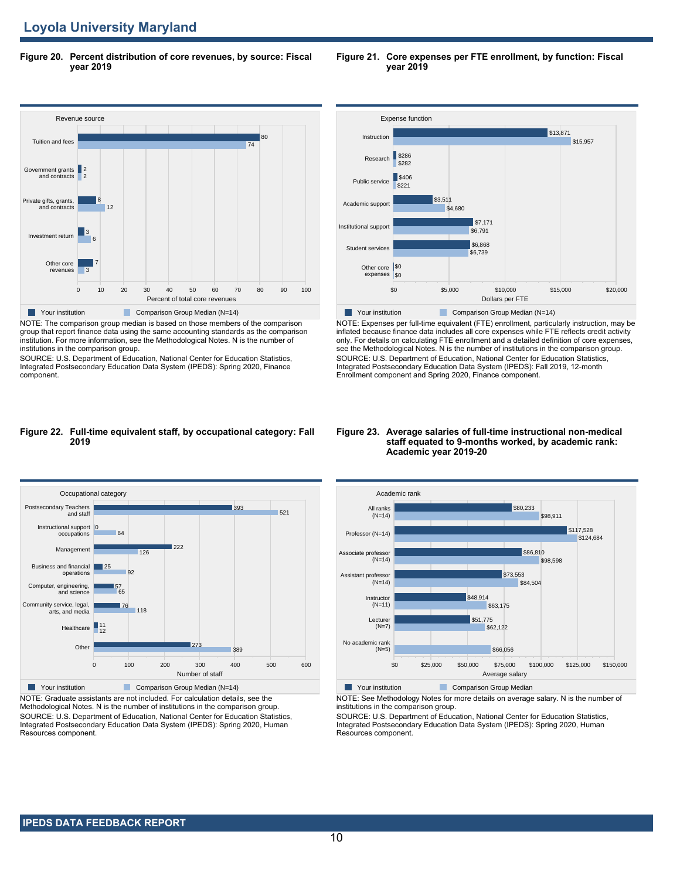**Figure 20. Percent distribution of core revenues, by source: Fiscal year 2019**



NOTE: The comparison group median is based on those members of the comparison group that report finance data using the same accounting standards as the comparison institution. For more information, see the Methodological Notes. N is the number of institutions in the comparison group.

SOURCE: U.S. Department of Education, National Center for Education Statistics, Integrated Postsecondary Education Data System (IPEDS): Spring 2020, Finance component.



NOTE: Expenses per full-time equivalent (FTE) enrollment, particularly instruction, may be inflated because finance data includes all core expenses while FTE reflects credit activity only. For details on calculating FTE enrollment and a detailed definition of core expenses, see the Methodological Notes. N is the number of institutions in the comparison group. SOURCE: U.S. Department of Education, National Center for Education Statistics, Integrated Postsecondary Education Data System (IPEDS): Fall 2019, 12-month Enrollment component and Spring 2020, Finance component.

#### **Figure 22. Full-time equivalent staff, by occupational category: Fall 2019**



NOTE: Graduate assistants are not included. For calculation details, see the Methodological Notes. N is the number of institutions in the comparison group. SOURCE: U.S. Department of Education, National Center for Education Statistics, Integrated Postsecondary Education Data System (IPEDS): Spring 2020, Human Resources component.

#### **Figure 23. Average salaries of full-time instructional non-medical staff equated to 9-months worked, by academic rank: Academic year 2019-20**



NOTE: See Methodology Notes for more details on average salary. N is the number of institutions in the comparison group.

SOURCE: U.S. Department of Education, National Center for Education Statistics, Integrated Postsecondary Education Data System (IPEDS): Spring 2020, Human Resources component.

**Figure 21. Core expenses per FTE enrollment, by function: Fiscal year 2019**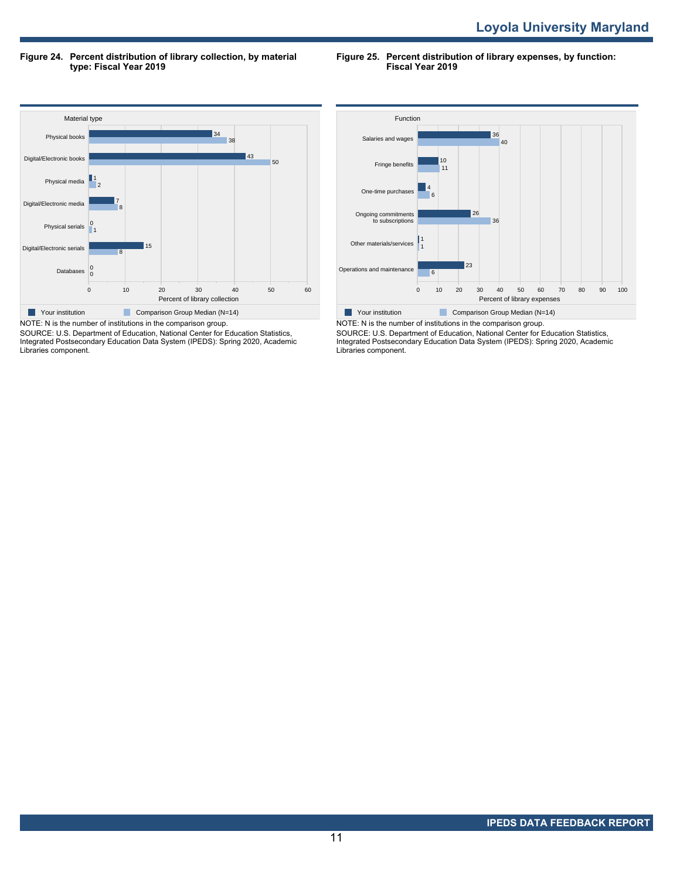**Figure 24. Percent distribution of library collection, by material type: Fiscal Year 2019**

**Figure 25. Percent distribution of library expenses, by function: Fiscal Year 2019**



SOURCE: U.S. Department of Education, National Center for Education Statistics, Integrated Postsecondary Education Data System (IPEDS): Spring 2020, Academic Libraries component.



NOTE: N is the number of institutions in the comparison group. SOURCE: U.S. Department of Education, National Center for Education Statistics, Integrated Postsecondary Education Data System (IPEDS): Spring 2020, Academic Libraries component.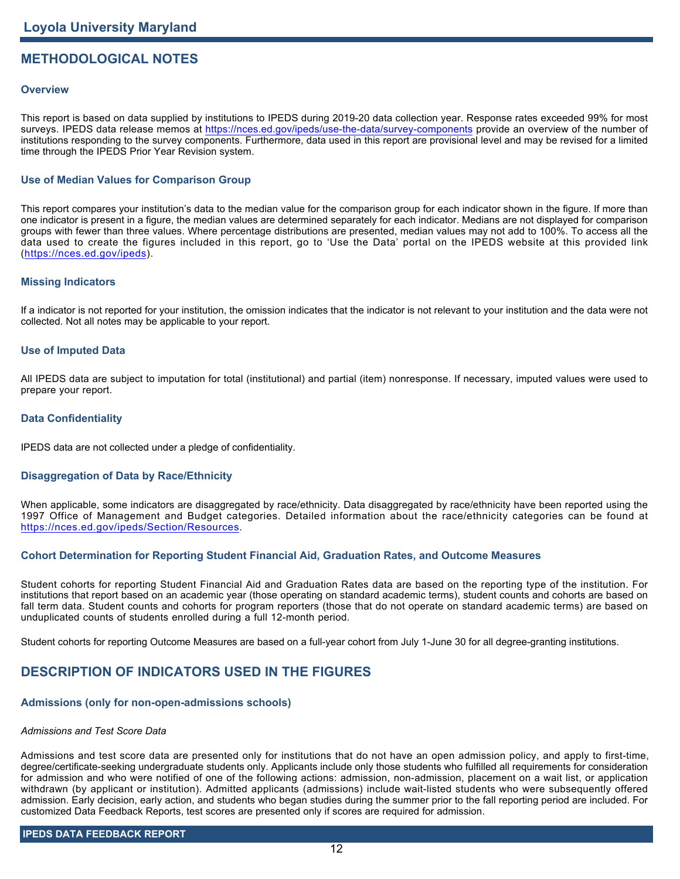# **METHODOLOGICAL NOTES**

## **Overview**

This report is based on data supplied by institutions to IPEDS during 2019-20 data collection year. Response rates exceeded 99% for most surveys. IPEDS data release memos at <https://nces.ed.gov/ipeds/use-the-data/survey-components> provide an overview of the number of institutions responding to the survey components. Furthermore, data used in this report are provisional level and may be revised for a limited time through the IPEDS Prior Year Revision system.

# **Use of Median Values for Comparison Group**

This report compares your institution's data to the median value for the comparison group for each indicator shown in the figure. If more than one indicator is present in a figure, the median values are determined separately for each indicator. Medians are not displayed for comparison groups with fewer than three values. Where percentage distributions are presented, median values may not add to 100%. To access all the data used to create the figures included in this report, go to 'Use the Data' portal on the IPEDS website at this provided link (<https://nces.ed.gov/ipeds>).

## **Missing Indicators**

If a indicator is not reported for your institution, the omission indicates that the indicator is not relevant to your institution and the data were not collected. Not all notes may be applicable to your report.

#### **Use of Imputed Data**

All IPEDS data are subject to imputation for total (institutional) and partial (item) nonresponse. If necessary, imputed values were used to prepare your report.

#### **Data Confidentiality**

IPEDS data are not collected under a pledge of confidentiality.

# **Disaggregation of Data by Race/Ethnicity**

When applicable, some indicators are disaggregated by race/ethnicity. Data disaggregated by race/ethnicity have been reported using the 1997 Office of Management and Budget categories. Detailed information about the race/ethnicity categories can be found at <https://nces.ed.gov/ipeds/Section/Resources>.

# **Cohort Determination for Reporting Student Financial Aid, Graduation Rates, and Outcome Measures**

Student cohorts for reporting Student Financial Aid and Graduation Rates data are based on the reporting type of the institution. For institutions that report based on an academic year (those operating on standard academic terms), student counts and cohorts are based on fall term data. Student counts and cohorts for program reporters (those that do not operate on standard academic terms) are based on unduplicated counts of students enrolled during a full 12-month period.

Student cohorts for reporting Outcome Measures are based on a full-year cohort from July 1-June 30 for all degree-granting institutions.

# **DESCRIPTION OF INDICATORS USED IN THE FIGURES**

#### **Admissions (only for non-open-admissions schools)**

#### *Admissions and Test Score Data*

Admissions and test score data are presented only for institutions that do not have an open admission policy, and apply to first-time, degree/certificate-seeking undergraduate students only. Applicants include only those students who fulfilled all requirements for consideration for admission and who were notified of one of the following actions: admission, non-admission, placement on a wait list, or application withdrawn (by applicant or institution). Admitted applicants (admissions) include wait-listed students who were subsequently offered admission. Early decision, early action, and students who began studies during the summer prior to the fall reporting period are included. For customized Data Feedback Reports, test scores are presented only if scores are required for admission.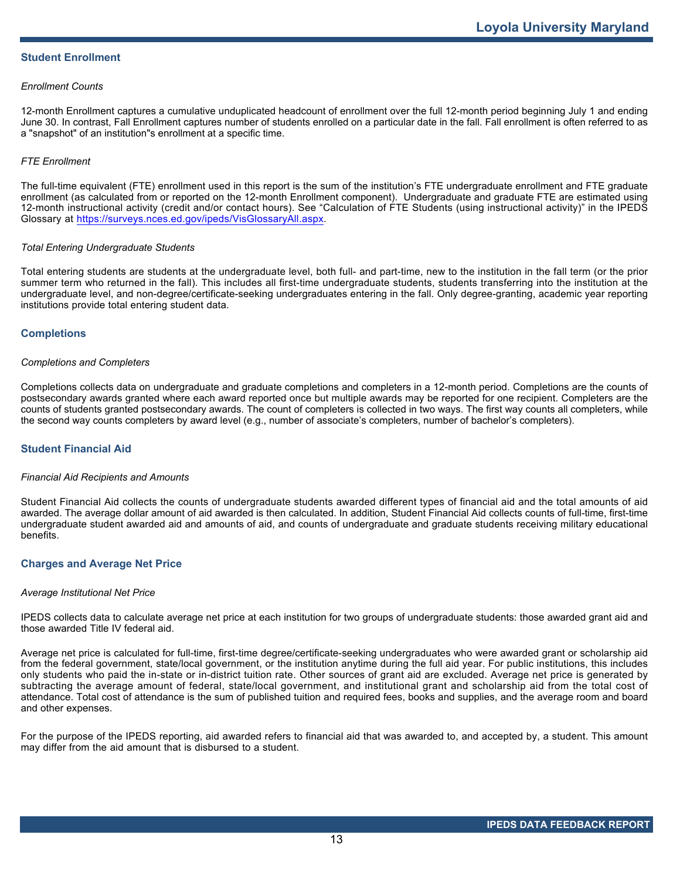# **Student Enrollment**

#### *Enrollment Counts*

12-month Enrollment captures a cumulative unduplicated headcount of enrollment over the full 12-month period beginning July 1 and ending June 30. In contrast, Fall Enrollment captures number of students enrolled on a particular date in the fall. Fall enrollment is often referred to as a "snapshot" of an institution"s enrollment at a specific time.

#### *FTE Enrollment*

The full-time equivalent (FTE) enrollment used in this report is the sum of the institution's FTE undergraduate enrollment and FTE graduate enrollment (as calculated from or reported on the 12-month Enrollment component). Undergraduate and graduate FTE are estimated using 12-month instructional activity (credit and/or contact hours). See "Calculation of FTE Students (using instructional activity)" in the IPEDS Glossary at <https://surveys.nces.ed.gov/ipeds/VisGlossaryAll.aspx>.

#### *Total Entering Undergraduate Students*

Total entering students are students at the undergraduate level, both full- and part-time, new to the institution in the fall term (or the prior summer term who returned in the fall). This includes all first-time undergraduate students, students transferring into the institution at the undergraduate level, and non-degree/certificate-seeking undergraduates entering in the fall. Only degree-granting, academic year reporting institutions provide total entering student data.

#### **Completions**

#### *Completions and Completers*

Completions collects data on undergraduate and graduate completions and completers in a 12-month period. Completions are the counts of postsecondary awards granted where each award reported once but multiple awards may be reported for one recipient. Completers are the counts of students granted postsecondary awards. The count of completers is collected in two ways. The first way counts all completers, while the second way counts completers by award level (e.g., number of associate's completers, number of bachelor's completers).

#### **Student Financial Aid**

#### *Financial Aid Recipients and Amounts*

Student Financial Aid collects the counts of undergraduate students awarded different types of financial aid and the total amounts of aid awarded. The average dollar amount of aid awarded is then calculated. In addition, Student Financial Aid collects counts of full-time, first-time undergraduate student awarded aid and amounts of aid, and counts of undergraduate and graduate students receiving military educational benefits.

#### **Charges and Average Net Price**

#### *Average Institutional Net Price*

IPEDS collects data to calculate average net price at each institution for two groups of undergraduate students: those awarded grant aid and those awarded Title IV federal aid.

Average net price is calculated for full-time, first-time degree/certificate-seeking undergraduates who were awarded grant or scholarship aid from the federal government, state/local government, or the institution anytime during the full aid year. For public institutions, this includes only students who paid the in-state or in-district tuition rate. Other sources of grant aid are excluded. Average net price is generated by subtracting the average amount of federal, state/local government, and institutional grant and scholarship aid from the total cost of attendance. Total cost of attendance is the sum of published tuition and required fees, books and supplies, and the average room and board and other expenses.

For the purpose of the IPEDS reporting, aid awarded refers to financial aid that was awarded to, and accepted by, a student. This amount may differ from the aid amount that is disbursed to a student.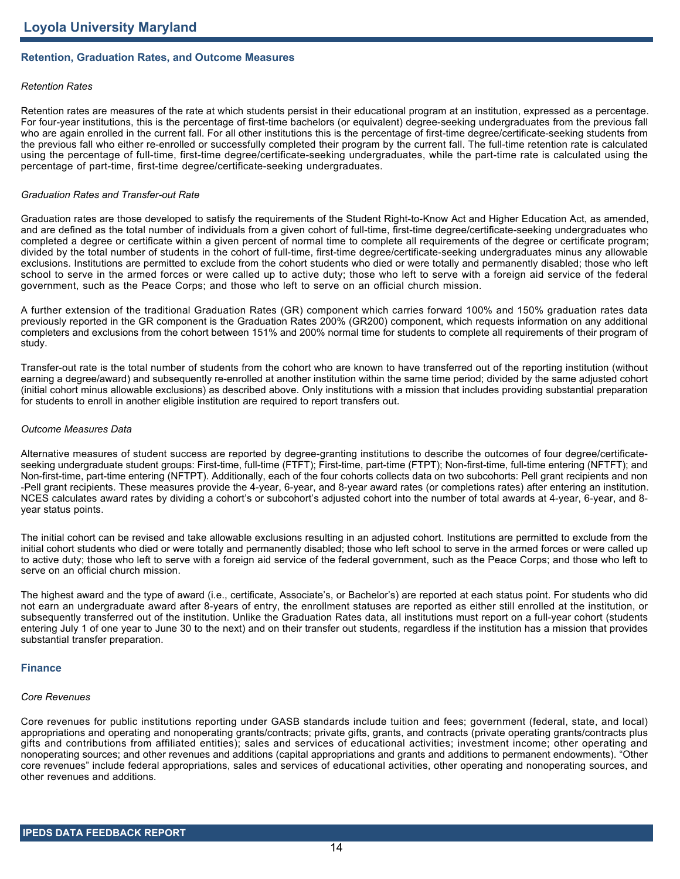# **Retention, Graduation Rates, and Outcome Measures**

#### *Retention Rates*

Retention rates are measures of the rate at which students persist in their educational program at an institution, expressed as a percentage. For four-year institutions, this is the percentage of first-time bachelors (or equivalent) degree-seeking undergraduates from the previous fall who are again enrolled in the current fall. For all other institutions this is the percentage of first-time degree/certificate-seeking students from the previous fall who either re-enrolled or successfully completed their program by the current fall. The full-time retention rate is calculated using the percentage of full-time, first-time degree/certificate-seeking undergraduates, while the part-time rate is calculated using the percentage of part-time, first-time degree/certificate-seeking undergraduates.

#### *Graduation Rates and Transfer-out Rate*

Graduation rates are those developed to satisfy the requirements of the Student Right-to-Know Act and Higher Education Act, as amended, and are defined as the total number of individuals from a given cohort of full-time, first-time degree/certificate-seeking undergraduates who completed a degree or certificate within a given percent of normal time to complete all requirements of the degree or certificate program; divided by the total number of students in the cohort of full-time, first-time degree/certificate-seeking undergraduates minus any allowable exclusions. Institutions are permitted to exclude from the cohort students who died or were totally and permanently disabled; those who left school to serve in the armed forces or were called up to active duty; those who left to serve with a foreign aid service of the federal government, such as the Peace Corps; and those who left to serve on an official church mission.

A further extension of the traditional Graduation Rates (GR) component which carries forward 100% and 150% graduation rates data previously reported in the GR component is the Graduation Rates 200% (GR200) component, which requests information on any additional completers and exclusions from the cohort between 151% and 200% normal time for students to complete all requirements of their program of study.

Transfer-out rate is the total number of students from the cohort who are known to have transferred out of the reporting institution (without earning a degree/award) and subsequently re-enrolled at another institution within the same time period; divided by the same adjusted cohort (initial cohort minus allowable exclusions) as described above. Only institutions with a mission that includes providing substantial preparation for students to enroll in another eligible institution are required to report transfers out.

#### *Outcome Measures Data*

Alternative measures of student success are reported by degree-granting institutions to describe the outcomes of four degree/certificateseeking undergraduate student groups: First-time, full-time (FTFT); First-time, part-time (FTPT); Non-first-time, full-time entering (NFTFT); and Non-first-time, part-time entering (NFTPT). Additionally, each of the four cohorts collects data on two subcohorts: Pell grant recipients and non -Pell grant recipients. These measures provide the 4-year, 6-year, and 8-year award rates (or completions rates) after entering an institution. NCES calculates award rates by dividing a cohort's or subcohort's adjusted cohort into the number of total awards at 4-year, 6-year, and 8 year status points.

The initial cohort can be revised and take allowable exclusions resulting in an adjusted cohort. Institutions are permitted to exclude from the initial cohort students who died or were totally and permanently disabled; those who left school to serve in the armed forces or were called up to active duty; those who left to serve with a foreign aid service of the federal government, such as the Peace Corps; and those who left to serve on an official church mission.

The highest award and the type of award (i.e., certificate, Associate's, or Bachelor's) are reported at each status point. For students who did not earn an undergraduate award after 8-years of entry, the enrollment statuses are reported as either still enrolled at the institution, or subsequently transferred out of the institution. Unlike the Graduation Rates data, all institutions must report on a full-year cohort (students entering July 1 of one year to June 30 to the next) and on their transfer out students, regardless if the institution has a mission that provides substantial transfer preparation.

#### **Finance**

#### *Core Revenues*

Core revenues for public institutions reporting under GASB standards include tuition and fees; government (federal, state, and local) appropriations and operating and nonoperating grants/contracts; private gifts, grants, and contracts (private operating grants/contracts plus gifts and contributions from affiliated entities); sales and services of educational activities; investment income; other operating and nonoperating sources; and other revenues and additions (capital appropriations and grants and additions to permanent endowments). "Other core revenues" include federal appropriations, sales and services of educational activities, other operating and nonoperating sources, and other revenues and additions.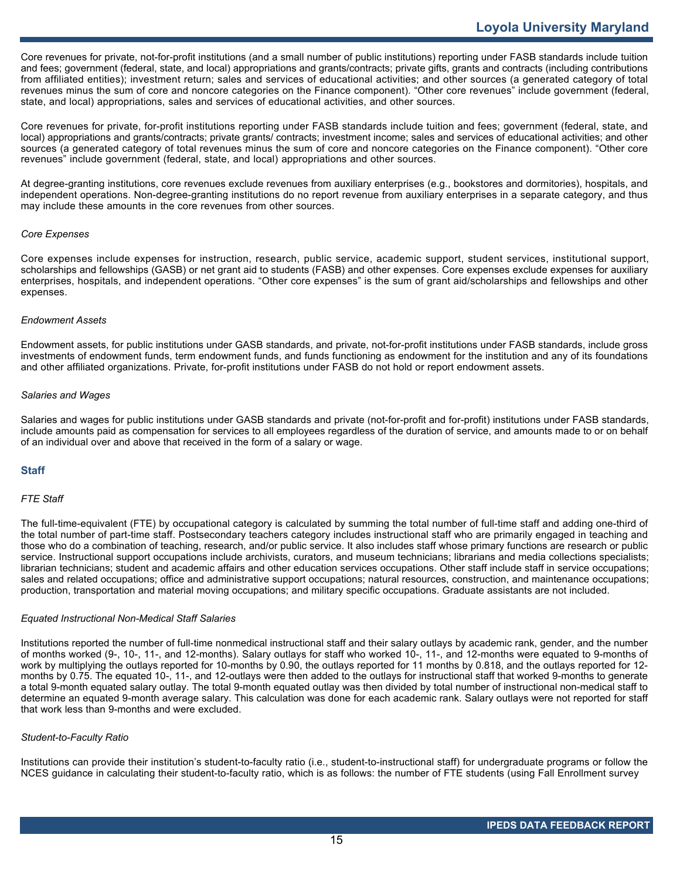Core revenues for private, not-for-profit institutions (and a small number of public institutions) reporting under FASB standards include tuition and fees; government (federal, state, and local) appropriations and grants/contracts; private gifts, grants and contracts (including contributions from affiliated entities); investment return; sales and services of educational activities; and other sources (a generated category of total revenues minus the sum of core and noncore categories on the Finance component). "Other core revenues" include government (federal, state, and local) appropriations, sales and services of educational activities, and other sources.

Core revenues for private, for-profit institutions reporting under FASB standards include tuition and fees; government (federal, state, and local) appropriations and grants/contracts; private grants/ contracts; investment income; sales and services of educational activities; and other sources (a generated category of total revenues minus the sum of core and noncore categories on the Finance component). "Other core revenues" include government (federal, state, and local) appropriations and other sources.

At degree-granting institutions, core revenues exclude revenues from auxiliary enterprises (e.g., bookstores and dormitories), hospitals, and independent operations. Non-degree-granting institutions do no report revenue from auxiliary enterprises in a separate category, and thus may include these amounts in the core revenues from other sources.

### *Core Expenses*

Core expenses include expenses for instruction, research, public service, academic support, student services, institutional support, scholarships and fellowships (GASB) or net grant aid to students (FASB) and other expenses. Core expenses exclude expenses for auxiliary enterprises, hospitals, and independent operations. "Other core expenses" is the sum of grant aid/scholarships and fellowships and other expenses.

#### *Endowment Assets*

Endowment assets, for public institutions under GASB standards, and private, not-for-profit institutions under FASB standards, include gross investments of endowment funds, term endowment funds, and funds functioning as endowment for the institution and any of its foundations and other affiliated organizations. Private, for-profit institutions under FASB do not hold or report endowment assets.

### *Salaries and Wages*

Salaries and wages for public institutions under GASB standards and private (not-for-profit and for-profit) institutions under FASB standards, include amounts paid as compensation for services to all employees regardless of the duration of service, and amounts made to or on behalf of an individual over and above that received in the form of a salary or wage.

# **Staff**

#### *FTE Staff*

The full-time-equivalent (FTE) by occupational category is calculated by summing the total number of full-time staff and adding one-third of the total number of part-time staff. Postsecondary teachers category includes instructional staff who are primarily engaged in teaching and those who do a combination of teaching, research, and/or public service. It also includes staff whose primary functions are research or public service. Instructional support occupations include archivists, curators, and museum technicians; librarians and media collections specialists; librarian technicians; student and academic affairs and other education services occupations. Other staff include staff in service occupations; sales and related occupations; office and administrative support occupations; natural resources, construction, and maintenance occupations; production, transportation and material moving occupations; and military specific occupations. Graduate assistants are not included.

#### *Equated Instructional Non-Medical Staff Salaries*

Institutions reported the number of full-time nonmedical instructional staff and their salary outlays by academic rank, gender, and the number of months worked (9-, 10-, 11-, and 12-months). Salary outlays for staff who worked 10-, 11-, and 12-months were equated to 9-months of work by multiplying the outlays reported for 10-months by 0.90, the outlays reported for 11 months by 0.818, and the outlays reported for 12 months by 0.75. The equated 10-, 11-, and 12-outlays were then added to the outlays for instructional staff that worked 9-months to generate a total 9-month equated salary outlay. The total 9-month equated outlay was then divided by total number of instructional non-medical staff to determine an equated 9-month average salary. This calculation was done for each academic rank. Salary outlays were not reported for staff that work less than 9-months and were excluded.

#### *Student-to-Faculty Ratio*

Institutions can provide their institution's student-to-faculty ratio (i.e., student-to-instructional staff) for undergraduate programs or follow the NCES guidance in calculating their student-to-faculty ratio, which is as follows: the number of FTE students (using Fall Enrollment survey